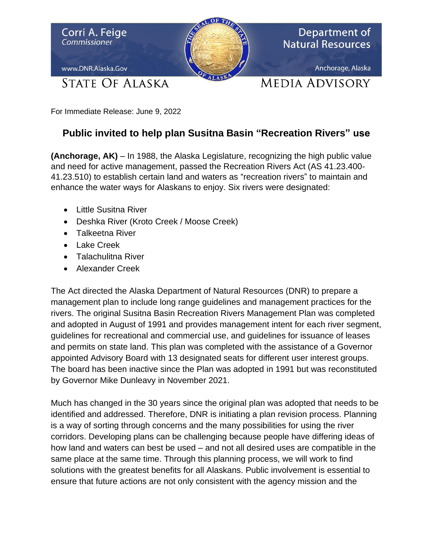

For Immediate Release: June 9, 2022

## **Public invited to help plan Susitna Basin "Recreation Rivers" use**

**(Anchorage, AK)** – In 1988, the Alaska Legislature, recognizing the high public value and need for active management, passed the Recreation Rivers Act (AS 41.23.400- 41.23.510) to establish certain land and waters as "recreation rivers" to maintain and enhance the water ways for Alaskans to enjoy. Six rivers were designated:

- Little Susitna River
- Deshka River (Kroto Creek / Moose Creek)
- Talkeetna River
- Lake Creek
- Talachulitna River
- Alexander Creek

The Act directed the Alaska Department of Natural Resources (DNR) to prepare a management plan to include long range guidelines and management practices for the rivers. The original Susitna Basin Recreation Rivers Management Plan was completed and adopted in August of 1991 and provides management intent for each river segment, guidelines for recreational and commercial use, and guidelines for issuance of leases and permits on state land. This plan was completed with the assistance of a Governor appointed Advisory Board with 13 designated seats for different user interest groups. The board has been inactive since the Plan was adopted in 1991 but was reconstituted by Governor Mike Dunleavy in November 2021.

Much has changed in the 30 years since the original plan was adopted that needs to be identified and addressed. Therefore, DNR is initiating a plan revision process. Planning is a way of sorting through concerns and the many possibilities for using the river corridors. Developing plans can be challenging because people have differing ideas of how land and waters can best be used – and not all desired uses are compatible in the same place at the same time. Through this planning process, we will work to find solutions with the greatest benefits for all Alaskans. Public involvement is essential to ensure that future actions are not only consistent with the agency mission and the